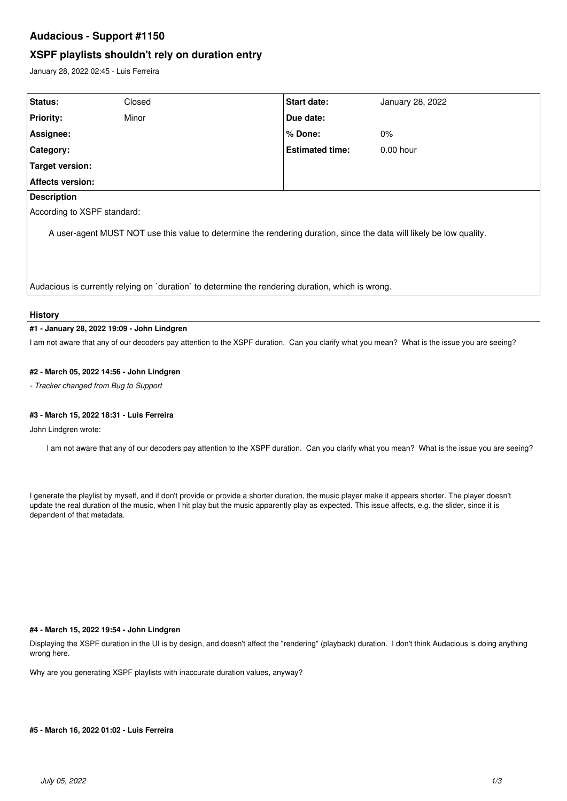# **Audacious - Support #1150**

## **XSPF playlists shouldn't rely on duration entry**

January 28, 2022 02:45 - Luis Ferreira

| Status:                                                                                                              | Closed | Start date:            | January 28, 2022 |
|----------------------------------------------------------------------------------------------------------------------|--------|------------------------|------------------|
| <b>Priority:</b>                                                                                                     | Minor  | Due date:              |                  |
| Assignee:                                                                                                            |        | % Done:                | $0\%$            |
| <b>Category:</b>                                                                                                     |        | <b>Estimated time:</b> | $0.00$ hour      |
| Target version:                                                                                                      |        |                        |                  |
| <b>Affects version:</b>                                                                                              |        |                        |                  |
| <b>Description</b>                                                                                                   |        |                        |                  |
| According to XSPF standard:                                                                                          |        |                        |                  |
| A user-agent MUST NOT use this value to determine the rendering duration, since the data will likely be low quality. |        |                        |                  |
| Audacious is currently relying on `duration` to determine the rendering duration, which is wrong.                    |        |                        |                  |

## **History**

#### **#1 - January 28, 2022 19:09 - John Lindgren**

I am not aware that any of our decoders pay attention to the XSPF duration. Can you clarify what you mean? What is the issue you are seeing?

## **#2 - March 05, 2022 14:56 - John Lindgren**

*- Tracker changed from Bug to Support*

## **#3 - March 15, 2022 18:31 - Luis Ferreira**

John Lindgren wrote:

I am not aware that any of our decoders pay attention to the XSPF duration. Can you clarify what you mean? What is the issue you are seeing?

I generate the playlist by myself, and if don't provide or provide a shorter duration, the music player make it appears shorter. The player doesn't update the real duration of the music, when I hit play but the music apparently play as expected. This issue affects, e.g. the slider, since it is dependent of that metadata.

#### **#4 - March 15, 2022 19:54 - John Lindgren**

Displaying the XSPF duration in the UI is by design, and doesn't affect the "rendering" (playback) duration. I don't think Audacious is doing anything wrong here.

Why are you generating XSPF playlists with inaccurate duration values, anyway?

## **#5 - March 16, 2022 01:02 - Luis Ferreira**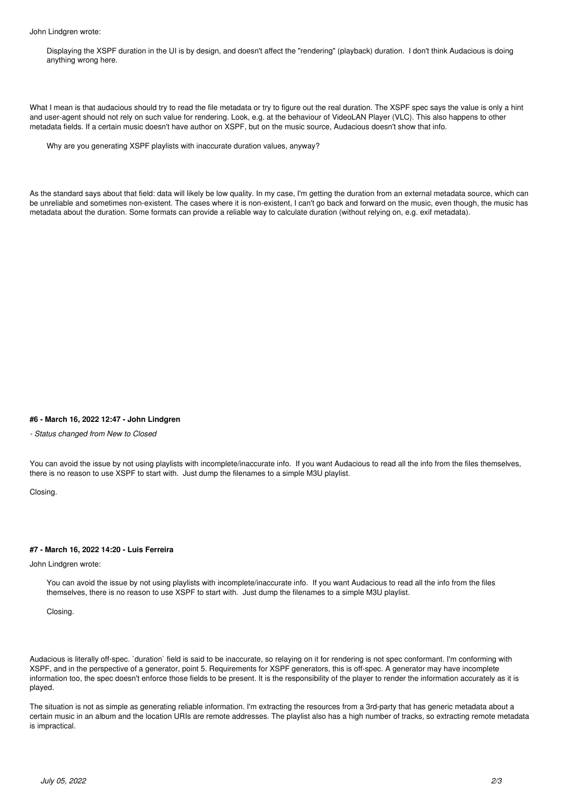Displaying the XSPF duration in the UI is by design, and doesn't affect the "rendering" (playback) duration. I don't think Audacious is doing anything wrong here.

What I mean is that audacious should try to read the file metadata or try to figure out the real duration. The XSPF spec says the value is only a hint and user-agent should not rely on such value for rendering. Look, e.g. at the behaviour of VideoLAN Player (VLC). This also happens to other metadata fields. If a certain music doesn't have author on XSPF, but on the music source, Audacious doesn't show that info.

Why are you generating XSPF playlists with inaccurate duration values, anyway?

As the standard says about that field: data will likely be low quality. In my case, I'm getting the duration from an external metadata source, which can be unreliable and sometimes non-existent. The cases where it is non-existent, I can't go back and forward on the music, even though, the music has metadata about the duration. Some formats can provide a reliable way to calculate duration (without relying on, e.g. exif metadata).

#### **#6 - March 16, 2022 12:47 - John Lindgren**

*- Status changed from New to Closed*

You can avoid the issue by not using playlists with incomplete/inaccurate info. If you want Audacious to read all the info from the files themselves, there is no reason to use XSPF to start with. Just dump the filenames to a simple M3U playlist.

Closing.

#### **#7 - March 16, 2022 14:20 - Luis Ferreira**

#### John Lindgren wrote:

You can avoid the issue by not using playlists with incomplete/inaccurate info. If you want Audacious to read all the info from the files themselves, there is no reason to use XSPF to start with. Just dump the filenames to a simple M3U playlist.

Closing.

Audacious is literally off-spec. `duration` field is said to be inaccurate, so relaying on it for rendering is not spec conformant. I'm conforming with XSPF, and in the perspective of a generator, point 5. Requirements for XSPF generators, this is off-spec. A generator may have incomplete information too, the spec doesn't enforce those fields to be present. It is the responsibility of the player to render the information accurately as it is played.

The situation is not as simple as generating reliable information. I'm extracting the resources from a 3rd-party that has generic metadata about a certain music in an album and the location URIs are remote addresses. The playlist also has a high number of tracks, so extracting remote metadata is impractical.